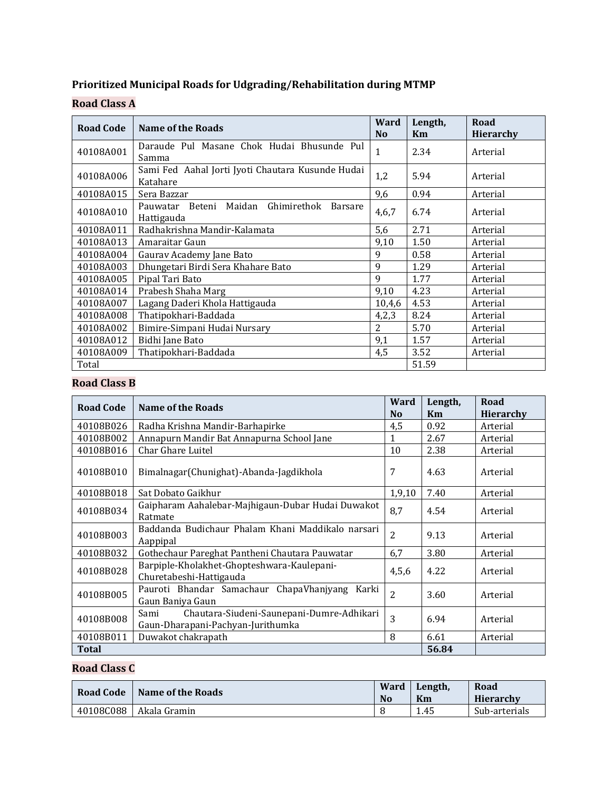# **Prioritized Municipal Roads for Udgrading/Rehabilitation during MTMP**

#### **Road Class A**

| <b>Road Code</b> | Name of the Roads                                              | Ward<br>N <sub>o</sub> | Length,<br>Km | Road<br><b>Hierarchy</b> |
|------------------|----------------------------------------------------------------|------------------------|---------------|--------------------------|
| 40108A001        | Daraude Pul Masane Chok Hudai Bhusunde Pul<br>Samma            | 1                      | 2.34          | Arterial                 |
| 40108A006        | Sami Fed Aahal Jorti Jyoti Chautara Kusunde Hudai<br>Katahare  | 1,2                    | 5.94          | Arterial                 |
| 40108A015        | Sera Bazzar                                                    | 9,6                    | 0.94          | Arterial                 |
| 40108A010        | Pauwatar Beteni Maidan<br>Ghimirethok<br>Barsare<br>Hattigauda | 4,6,7                  | 6.74          | Arterial                 |
| 40108A011        | Radhakrishna Mandir-Kalamata                                   | 5,6                    | 2.71          | Arterial                 |
| 40108A013        | Amaraitar Gaun                                                 | 9,10                   | 1.50          | Arterial                 |
| 40108A004        | Gaurav Academy Jane Bato                                       | 9                      | 0.58          | Arterial                 |
| 40108A003        | Dhungetari Birdi Sera Khahare Bato                             | 9                      | 1.29          | Arterial                 |
| 40108A005        | Pipal Tari Bato                                                | 9                      | 1.77          | Arterial                 |
| 40108A014        | Prabesh Shaha Marg                                             | 9,10                   | 4.23          | Arterial                 |
| 40108A007        | Lagang Daderi Khola Hattigauda                                 | 10,4,6                 | 4.53          | Arterial                 |
| 40108A008        | Thatipokhari-Baddada                                           | 4,2,3                  | 8.24          | Arterial                 |
| 40108A002        | Bimire-Simpani Hudai Nursary                                   | 2                      | 5.70          | Arterial                 |
| 40108A012        | Bidhi Jane Bato                                                | 9,1                    | 1.57          | Arterial                 |
| 40108A009        | Thatipokhari-Baddada                                           | 4,5                    | 3.52          | Arterial                 |
| Total            |                                                                |                        | 51.59         |                          |

### **Road Class B**

| <b>Road Code</b> | Name of the Roads                                                                      | Ward<br>N <sub>o</sub> | Length,<br>Km | Road                         |
|------------------|----------------------------------------------------------------------------------------|------------------------|---------------|------------------------------|
| 40108B026        | Radha Krishna Mandir-Barhapirke                                                        | 4,5                    | 0.92          | <b>Hierarchy</b><br>Arterial |
| 40108B002        | Annapurn Mandir Bat Annapurna School Jane                                              | 1                      | 2.67          | Arterial                     |
| 40108B016        | Char Ghare Luitel                                                                      | 10                     | 2.38          | Arterial                     |
| 40108B010        | Bimalnagar(Chunighat)-Abanda-Jagdikhola                                                | 7                      | 4.63          | Arterial                     |
| 40108B018        | Sat Dobato Gaikhur                                                                     | 1,9,10                 | 7.40          | Arterial                     |
| 40108B034        | Gaipharam Aahalebar-Majhigaun-Dubar Hudai Duwakot<br>Ratmate                           | 8,7                    | 4.54          | Arterial                     |
| 40108B003        | Baddanda Budichaur Phalam Khani Maddikalo narsari<br>Aappipal                          | $\overline{2}$         | 9.13          | Arterial                     |
| 40108B032        | Gothechaur Pareghat Pantheni Chautara Pauwatar                                         | 6,7                    | 3.80          | Arterial                     |
| 40108B028        | Barpiple-Kholakhet-Ghopteshwara-Kaulepani-<br>Churetabeshi-Hattigauda                  | 4,5,6                  | 4.22          | Arterial                     |
| 40108B005        | Pauroti Bhandar Samachaur ChapaVhanjyang<br>Karki<br>Gaun Baniya Gaun                  | 2                      | 3.60          | Arterial                     |
| 40108B008        | Chautara-Siudeni-Saunepani-Dumre-Adhikari<br>Sami<br>Gaun-Dharapani-Pachyan-Jurithumka | 3                      | 6.94          | Arterial                     |
| 40108B011        | Duwakot chakrapath                                                                     | 8                      | 6.61          | Arterial                     |
| <b>Total</b>     |                                                                                        |                        | 56.84         |                              |

# **Road Class C**

| <b>Road Code</b> | Name of the Roads | <b>Ward</b><br>N <sub>o</sub> | Length.<br>Km | Road<br><b>Hierarchy</b> |
|------------------|-------------------|-------------------------------|---------------|--------------------------|
| 40108C088        | Akala Gramin      |                               | 1.45          | Sub-arterials            |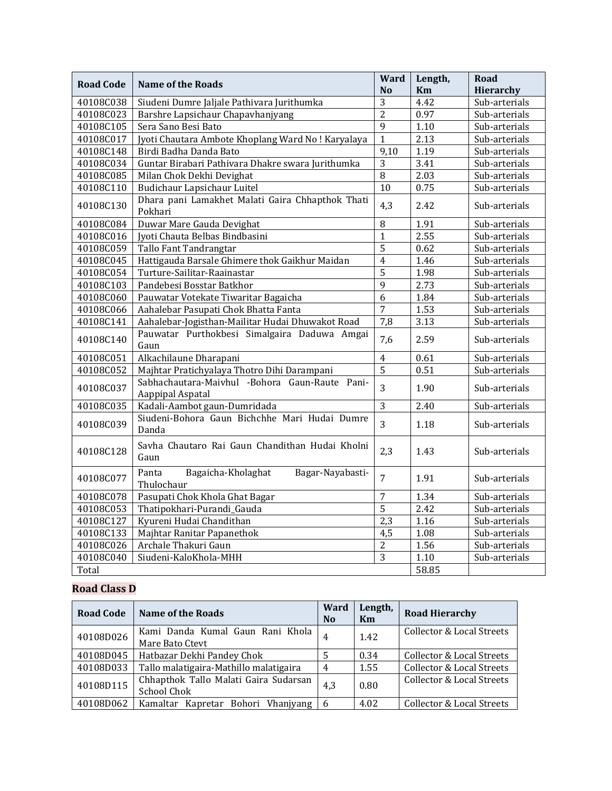| <b>Road Code</b> | <b>Name of the Roads</b>                                           | Ward             | Length, | Road          |
|------------------|--------------------------------------------------------------------|------------------|---------|---------------|
|                  |                                                                    | N <sub>o</sub>   | Km      | Hierarchy     |
| 40108C038        | Siudeni Dumre Jaljale Pathivara Jurithumka                         | 3                | 4.42    | Sub-arterials |
| 40108C023        | Barshre Lapsichaur Chapavhanjyang                                  | $\overline{2}$   | 0.97    | Sub-arterials |
| 40108C105        | Sera Sano Besi Bato                                                | 9                | 1.10    | Sub-arterials |
| 40108C017        | Jyoti Chautara Ambote Khoplang Ward No! Karyalaya                  | $\mathbf{1}$     | 2.13    | Sub-arterials |
| 40108C148        | Birdi Badha Danda Bato                                             | 9,10             | 1.19    | Sub-arterials |
| 40108C034        | Guntar Birabari Pathivara Dhakre swara Jurithumka                  | $\overline{3}$   | 3.41    | Sub-arterials |
| 40108C085        | Milan Chok Dekhi Devighat                                          | $\overline{8}$   | 2.03    | Sub-arterials |
| 40108C110        | Budichaur Lapsichaur Luitel                                        | 10               | 0.75    | Sub-arterials |
| 40108C130        | Dhara pani Lamakhet Malati Gaira Chhapthok Thati<br>Pokhari        | 4,3              | 2.42    | Sub-arterials |
| 40108C084        | Duwar Mare Gauda Devighat                                          | 8                | 1.91    | Sub-arterials |
| 40108C016        | Jyoti Chauta Belbas Bindbasini                                     | $\mathbf{1}$     | 2.55    | Sub-arterials |
| 40108C059        | Tallo Fant Tandrangtar                                             | 5                | 0.62    | Sub-arterials |
| 40108C045        | Hattigauda Barsale Ghimere thok Gaikhur Maidan                     | $\overline{4}$   | 1.46    | Sub-arterials |
| 40108C054        | Turture-Sailitar-Raainastar                                        | $\overline{5}$   | 1.98    | Sub-arterials |
| 40108C103        | Pandebesi Bosstar Batkhor                                          | $\overline{9}$   | 2.73    | Sub-arterials |
| 40108C060        | Pauwatar Votekate Tiwaritar Bagaicha                               | $\overline{6}$   | 1.84    | Sub-arterials |
| 40108C066        | Aahalebar Pasupati Chok Bhatta Fanta                               | $\overline{7}$   | 1.53    | Sub-arterials |
| 40108C141        | Aahalebar-Jogisthan-Mailitar Hudai Dhuwakot Road                   | 7,8              | 3.13    | Sub-arterials |
| 40108C140        | Pauwatar Purthokbesi Simalgaira Daduwa Amgai<br>Gaun               | 7,6              | 2.59    | Sub-arterials |
| 40108C051        | Alkachilaune Dharapani                                             | $\boldsymbol{4}$ | 0.61    | Sub-arterials |
| 40108C052        | Majhtar Pratichyalaya Thotro Dihi Darampani                        | $\overline{5}$   | 0.51    | Sub-arterials |
| 40108C037        | Sabhachautara-Maiyhul -Bohora Gaun-Raute Pani-<br>Aappipal Aspatal | $\overline{3}$   | 1.90    | Sub-arterials |
| 40108C035        | Kadali-Aambot gaun-Dumridada                                       | $\overline{3}$   | 2.40    | Sub-arterials |
| 40108C039        | Siudeni-Bohora Gaun Bichchhe Mari Hudai Dumre<br>Danda             | 3                | 1.18    | Sub-arterials |
| 40108C128        | Savha Chautaro Rai Gaun Chandithan Hudai Kholni<br>Gaun            | 2,3              | 1.43    | Sub-arterials |
| 40108C077        | Bagaicha-Kholaghat<br>Panta<br>Bagar-Nayabasti-<br>Thulochaur      | $\overline{7}$   | 1.91    | Sub-arterials |
| 40108C078        | Pasupati Chok Khola Ghat Bagar                                     | $\overline{7}$   | 1.34    | Sub-arterials |
| 40108C053        | Thatipokhari-Purandi_Gauda                                         | $\overline{5}$   | 2.42    | Sub-arterials |
| 40108C127        | Kyureni Hudai Chandithan                                           | 2,3              | 1.16    | Sub-arterials |
| 40108C133        | Majhtar Ranitar Papanethok                                         | 4,5              | 1.08    | Sub-arterials |
| 40108C026        | Archale Thakuri Gaun                                               | $\overline{2}$   | 1.56    | Sub-arterials |
| 40108C040        | Siudeni-KaloKhola-MHH                                              | $\overline{3}$   | 1.10    | Sub-arterials |
| Total            |                                                                    |                  | 58.85   |               |

## **Road Class D**

| <b>Road Code</b> | <b>Name of the Roads</b>               | Ward<br>N <sub>0</sub> | Length,<br>Km | <b>Road Hierarchy</b>                |
|------------------|----------------------------------------|------------------------|---------------|--------------------------------------|
| 40108D026        | Kami Danda Kumal Gaun Rani Khola       | 4                      | 1.42          | Collector & Local Streets            |
|                  | Mare Bato Ctevt                        |                        |               |                                      |
| 40108D045        | Hatbazar Dekhi Pandey Chok             | 5                      | 0.34          | Collector & Local Streets            |
| 40108D033        | Tallo malatigaira-Mathillo malatigaira | 4                      | 1.55          | <b>Collector &amp; Local Streets</b> |
| 40108D115        | Chhapthok Tallo Malati Gaira Sudarsan  | 4,3                    | 0.80          | Collector & Local Streets            |
|                  | <b>School Chok</b>                     |                        |               |                                      |
| 40108D062        | Kamaltar Kapretar Bohori Vhanjyang   6 |                        | 4.02          | <b>Collector &amp; Local Streets</b> |